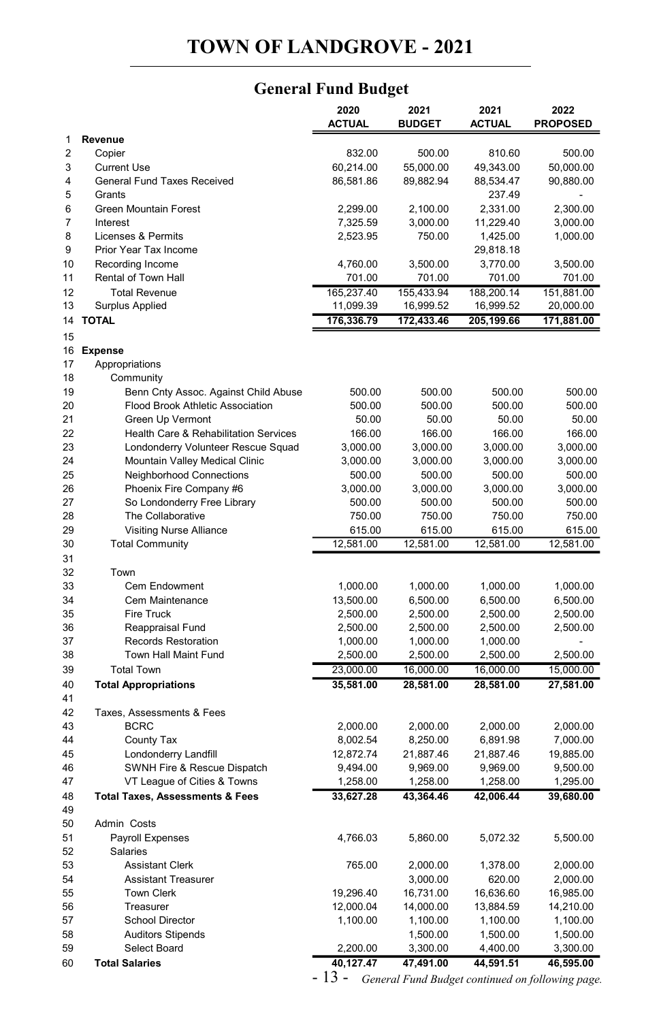## **General Fund Budget** GENERAL FUND BUDGET PAGE 1999 AND DER EINE DER STELLEN BUDGET PAGE 1999 AND DER EINE DER EINE DER EINE DER EIN<br>1999 Andere Schweizer der Eine Schweizer der Eine Schweizer der Eine Schweizer der Eine Schweizer der Eine Sch

|                |                                            | 2020       | 2021          | 2021       | 2022            |
|----------------|--------------------------------------------|------------|---------------|------------|-----------------|
| 1              | Revenue                                    | ACTUAL     | <b>BUDGET</b> | ACTUAL     | <b>PROPOSED</b> |
| $\overline{2}$ | Copier                                     | 832.00     | 500.00        | 810.60     | 500.00          |
| 3              | <b>Current Use</b>                         | 60.214.00  | 55.000.00     | 49.343.00  | 50.000.00       |
| 4              | <b>General Fund Taxes Received</b>         | 86,581.86  | 89,882.94     | 88,534.47  | 90,880.00       |
| 5              | Grants                                     |            |               | 237.49     |                 |
| 6              | <b>Green Mountain Forest</b>               | 2,299.00   | 2,100.00      | 2,331.00   | 2,300.00        |
| $\overline{7}$ | Interest                                   | 7,325.59   | 3,000.00      | 11,229.40  | 3,000.00        |
| 8              | Licenses & Permits                         | 2,523.95   | 750.00        | 1,425.00   | 1,000.00        |
| 9              | Prior Year Tax Income                      |            |               | 29,818.18  |                 |
| 10             | Recording Income                           | 4,760.00   | 3,500.00      | 3,770.00   | 3,500.00        |
| 11             | Rental of Town Hall                        | 701.00     | 701.00        | 701.00     | 701.00          |
| 12             | <b>Total Revenue</b>                       | 165,237.40 | 155,433.94    | 188,200.14 | 151,881.00      |
| 13             | <b>Surplus Applied</b>                     | 11,099.39  | 16,999.52     | 16,999.52  | 20,000.00       |
| 14             | <b>TOTAL</b>                               | 176,336.79 | 172,433.46    | 205,199.66 | 171,881.00      |
| 15             |                                            |            |               |            |                 |
| 16             | <b>Expense</b>                             |            |               |            |                 |
| 17             | Appropriations                             |            |               |            |                 |
| 18             | Community                                  |            |               |            |                 |
| 19             | Benn Cnty Assoc. Against Child Abuse       | 500.00     | 500.00        | 500.00     | 500.00          |
| 20             | Flood Brook Athletic Association           | 500.00     | 500.00        | 500.00     | 500.00          |
| 21             | Green Up Vermont                           | 50.00      | 50.00         | 50.00      | 50.00           |
| 22             | Health Care & Rehabilitation Services      | 166.00     | 166.00        | 166.00     | 166.00          |
| 23             | Londonderry Volunteer Rescue Squad         | 3,000.00   | 3,000.00      | 3,000.00   | 3,000.00        |
| 24             | Mountain Valley Medical Clinic             | 3,000.00   | 3,000.00      | 3,000.00   | 3,000.00        |
| 25             | <b>Neighborhood Connections</b>            | 500.00     | 500.00        | 500.00     | 500.00          |
| 26             | Phoenix Fire Company #6                    | 3,000.00   | 3,000.00      | 3,000.00   | 3,000.00        |
| 27             | So Londonderry Free Library                | 500.00     | 500.00        | 500.00     | 500.00          |
| 28             | The Collaborative                          | 750.00     | 750.00        | 750.00     | 750.00          |
| 29             | <b>Visiting Nurse Alliance</b>             | 615.00     | 615.00        | 615.00     | 615.00          |
| 30             | <b>Total Community</b>                     | 12,581.00  | 12,581.00     | 12,581.00  | 12,581.00       |
| 31             |                                            |            |               |            |                 |
| 32             | Town                                       |            |               |            |                 |
| 33             | <b>Cem Endowment</b>                       | 1,000.00   | 1,000.00      | 1,000.00   | 1,000.00        |
| 34             | Cem Maintenance                            | 13,500.00  | 6,500.00      | 6,500.00   | 6,500.00        |
| 35             | <b>Fire Truck</b>                          | 2,500.00   | 2,500.00      | 2,500.00   | 2,500.00        |
| 36             | Reappraisal Fund                           | 2,500.00   | 2,500.00      | 2,500.00   | 2,500.00        |
| 37             | Records Restoration                        | 1,000.00   | 1,000.00      | 1,000.00   |                 |
| 38             | Town Hall Maint Fund                       | 2,500.00   | 2,500.00      | 2,500.00   | 2,500.00        |
| 39             | <b>Total Town</b>                          | 23,000.00  | 16,000.00     | 16,000.00  | 15,000.00       |
| 40             | <b>Total Appropriations</b>                | 35,581.00  | 28,581.00     | 28,581.00  | 27,581.00       |
| 41             |                                            |            |               |            |                 |
| 42             | Taxes, Assessments & Fees                  |            |               |            |                 |
| 43             | <b>BCRC</b>                                | 2,000.00   | 2,000.00      | 2,000.00   | 2,000.00        |
| 44             | County Tax                                 | 8,002.54   | 8,250.00      | 6,891.98   | 7,000.00        |
| 45             | Londonderry Landfill                       | 12,872.74  | 21,887.46     | 21,887.46  | 19,885.00       |
| 46             | SWNH Fire & Rescue Dispatch                | 9,494.00   | 9,969.00      | 9,969.00   | 9,500.00        |
| 47             | VT League of Cities & Towns                | 1,258.00   | 1,258.00      | 1,258.00   | 1,295.00        |
| 48             | <b>Total Taxes, Assessments &amp; Fees</b> | 33,627.28  | 43,364.46     | 42,006.44  | 39,680.00       |
| 49             |                                            |            |               |            |                 |
| 50             | Admin Costs                                |            |               |            |                 |
| 51             | <b>Payroll Expenses</b>                    | 4,766.03   | 5,860.00      | 5,072.32   | 5,500.00        |
| 52             | Salaries                                   |            |               |            |                 |
| 53             | <b>Assistant Clerk</b>                     | 765.00     | 2,000.00      | 1,378.00   | 2,000.00        |
| 54             | <b>Assistant Treasurer</b>                 |            | 3,000.00      | 620.00     | 2,000.00        |
| 55             | <b>Town Clerk</b>                          | 19,296.40  | 16,731.00     | 16,636.60  | 16,985.00       |
| 56             | Treasurer                                  | 12,000.04  | 14,000.00     | 13,884.59  | 14,210.00       |
| 57             | <b>School Director</b>                     | 1,100.00   | 1,100.00      | 1,100.00   | 1,100.00        |
| 58             | <b>Auditors Stipends</b>                   |            | 1,500.00      | 1,500.00   | 1,500.00        |
| 59             | Select Board                               | 2,200.00   | 3,300.00      | 4,400.00   | 3,300.00        |
| 60             | <b>Total Salaries</b>                      | 40,127.47  | 47,491.00     | 44,591.51  | 46,595.00       |

- 13 - *General Fund Budget continued on following page.*